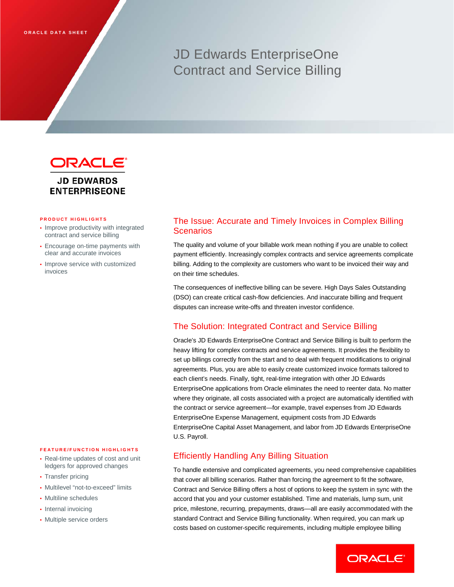# JD Edwards EnterpriseOne Contract and Service Billing



#### **PRODUCT HIGHLIGHTS**

- Improve productivity with integrated contract and service billing
- Encourage on-time payments with clear and accurate invoices
- Improve service with customized invoices

#### **FEATURE/FUNCTION HIGHLIGHTS**

- Real-time updates of cost and unit ledgers for approved changes
- Transfer pricing
- Multilevel "not-to-exceed" limits
- Multiline schedules
- Internal invoicing
- Multiple service orders

# The Issue: Accurate and Timely Invoices in Complex Billing Scenarios

The quality and volume of your billable work mean nothing if you are unable to collect payment efficiently. Increasingly complex contracts and service agreements complicate billing. Adding to the complexity are customers who want to be invoiced their way and on their time schedules.

The consequences of ineffective billing can be severe. High Days Sales Outstanding (DSO) can create critical cash-flow deficiencies. And inaccurate billing and frequent disputes can increase write-offs and threaten investor confidence.

# The Solution: Integrated Contract and Service Billing

Oracle's JD Edwards EnterpriseOne Contract and Service Billing is built to perform the heavy lifting for complex contracts and service agreements. It provides the flexibility to set up billings correctly from the start and to deal with frequent modifications to original agreements. Plus, you are able to easily create customized invoice formats tailored to each client's needs. Finally, tight, real-time integration with other JD Edwards EnterpriseOne applications from Oracle eliminates the need to reenter data. No matter where they originate, all costs associated with a project are automatically identified with the contract or service agreement—for example, travel expenses from JD Edwards EnterpriseOne Expense Management, equipment costs from JD Edwards EnterpriseOne Capital Asset Management, and labor from JD Edwards EnterpriseOne U.S. Payroll.

#### Efficiently Handling Any Billing Situation

To handle extensive and complicated agreements, you need comprehensive capabilities that cover all billing scenarios. Rather than forcing the agreement to fit the software, Contract and Service Billing offers a host of options to keep the system in sync with the accord that you and your customer established. Time and materials, lump sum, unit price, milestone, recurring, prepayments, draws—all are easily accommodated with the standard Contract and Service Billing functionality. When required, you can mark up costs based on customer-specific requirements, including multiple employee billing

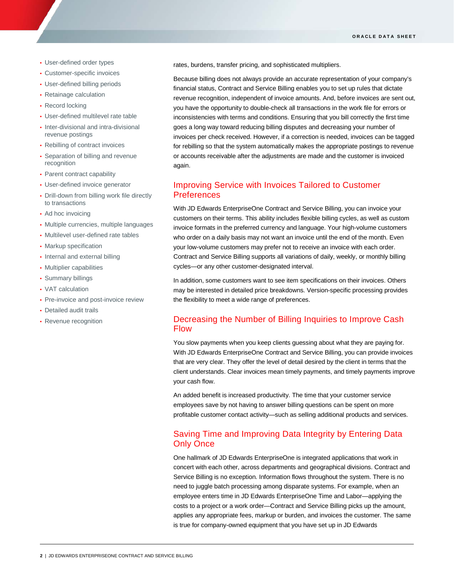- User-defined order types
- Customer-specific invoices
- User-defined billing periods
- Retainage calculation
- Record locking

ī

- User-defined multilevel rate table
- Inter-divisional and intra-divisional revenue postings
- Rebilling of contract invoices
- Separation of billing and revenue recognition
- Parent contract capability
- User-defined invoice generator
- Drill-down from billing work file directly to transactions
- Ad hoc invoicing
- Multiple currencies, multiple languages
- Multilevel user-defined rate tables
- Markup specification
- Internal and external billing
- Multiplier capabilities
- Summary billings
- VAT calculation
- Pre-invoice and post-invoice review
- Detailed audit trails
- Revenue recognition

rates, burdens, transfer pricing, and sophisticated multipliers.

Because billing does not always provide an accurate representation of your company's financial status, Contract and Service Billing enables you to set up rules that dictate revenue recognition, independent of invoice amounts. And, before invoices are sent out, you have the opportunity to double-check all transactions in the work file for errors or inconsistencies with terms and conditions. Ensuring that you bill correctly the first time goes a long way toward reducing billing disputes and decreasing your number of invoices per check received. However, if a correction is needed, invoices can be tagged for rebilling so that the system automatically makes the appropriate postings to revenue or accounts receivable after the adjustments are made and the customer is invoiced again.

# Improving Service with Invoices Tailored to Customer Preferences

With JD Edwards EnterpriseOne Contract and Service Billing, you can invoice your customers on their terms. This ability includes flexible billing cycles, as well as custom invoice formats in the preferred currency and language. Your high-volume customers who order on a daily basis may not want an invoice until the end of the month. Even your low-volume customers may prefer not to receive an invoice with each order. Contract and Service Billing supports all variations of daily, weekly, or monthly billing cycles—or any other customer-designated interval.

In addition, some customers want to see item specifications on their invoices. Others may be interested in detailed price breakdowns. Version-specific processing provides the flexibility to meet a wide range of preferences.

# Decreasing the Number of Billing Inquiries to Improve Cash Flow

You slow payments when you keep clients guessing about what they are paying for. With JD Edwards EnterpriseOne Contract and Service Billing, you can provide invoices that are very clear. They offer the level of detail desired by the client in terms that the client understands. Clear invoices mean timely payments, and timely payments improve your cash flow.

An added benefit is increased productivity. The time that your customer service employees save by not having to answer billing questions can be spent on more profitable customer contact activity—such as selling additional products and services.

# Saving Time and Improving Data Integrity by Entering Data Only Once

One hallmark of JD Edwards EnterpriseOne is integrated applications that work in concert with each other, across departments and geographical divisions. Contract and Service Billing is no exception. Information flows throughout the system. There is no need to juggle batch processing among disparate systems. For example, when an employee enters time in JD Edwards EnterpriseOne Time and Labor—applying the costs to a project or a work order—Contract and Service Billing picks up the amount, applies any appropriate fees, markup or burden, and invoices the customer. The same is true for company-owned equipment that you have set up in JD Edwards